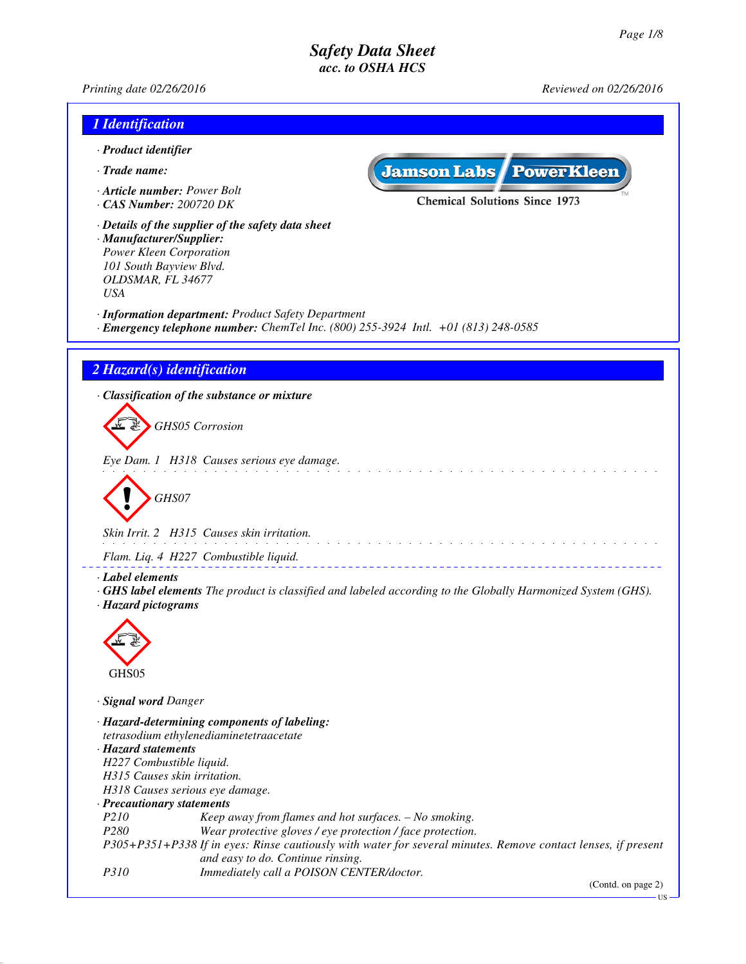*Printing date 02/26/2016 Reviewed on 02/26/2016*

| 1 Identification                                                                                                                                                        |                                                                                                                    |
|-------------------------------------------------------------------------------------------------------------------------------------------------------------------------|--------------------------------------------------------------------------------------------------------------------|
| · Product identifier                                                                                                                                                    |                                                                                                                    |
| · Trade name:                                                                                                                                                           | <b>Jamson Labs PowerKleen</b>                                                                                      |
| Article number: Power Bolt<br>$\cdot$ CAS Number: 200720 DK                                                                                                             | <b>Chemical Solutions Since 1973</b>                                                                               |
| · Details of the supplier of the safety data sheet<br>· Manufacturer/Supplier:<br>Power Kleen Corporation<br>101 South Bayview Blvd.<br>OLDSMAR, FL 34677<br><b>USA</b> |                                                                                                                    |
| · Information department: Product Safety Department<br>· Emergency telephone number: ChemTel Inc. (800) 255-3924 Intl. +01 (813) 248-0585                               |                                                                                                                    |
|                                                                                                                                                                         |                                                                                                                    |
| 2 Hazard(s) identification                                                                                                                                              |                                                                                                                    |
| · Classification of the substance or mixture                                                                                                                            |                                                                                                                    |
| <b>GHS05</b> Corrosion                                                                                                                                                  |                                                                                                                    |
| Eye Dam. 1 H318 Causes serious eye damage.                                                                                                                              |                                                                                                                    |
| GHS07                                                                                                                                                                   |                                                                                                                    |
| Skin Irrit. 2 H315 Causes skin irritation.                                                                                                                              |                                                                                                                    |
| Flam. Liq. 4 H227 Combustible liquid.                                                                                                                                   |                                                                                                                    |
| · Label elements<br>· Hazard pictograms                                                                                                                                 | <b>GHS label elements</b> The product is classified and labeled according to the Globally Harmonized System (GHS). |
|                                                                                                                                                                         |                                                                                                                    |
| GHS05                                                                                                                                                                   |                                                                                                                    |
| · Signal word Danger                                                                                                                                                    |                                                                                                                    |
| · Hazard-determining components of labeling:<br>tetrasodium ethylenediaminetetraacetate                                                                                 |                                                                                                                    |
| · Hazard statements                                                                                                                                                     |                                                                                                                    |
| H227 Combustible liquid.<br>H315 Causes skin irritation.                                                                                                                |                                                                                                                    |
| H318 Causes serious eye damage.                                                                                                                                         |                                                                                                                    |
| · Precautionary statements                                                                                                                                              |                                                                                                                    |
| P210<br>Keep away from flames and hot surfaces. - No smoking.                                                                                                           |                                                                                                                    |
| P <sub>280</sub><br>Wear protective gloves / eye protection / face protection.                                                                                          | P305+P351+P338 If in eyes: Rinse cautiously with water for several minutes. Remove contact lenses, if present      |
| and easy to do. Continue rinsing.<br><i>P310</i><br>Immediately call a POISON CENTER/doctor.                                                                            |                                                                                                                    |
|                                                                                                                                                                         | (Contd. on page 2)<br>US                                                                                           |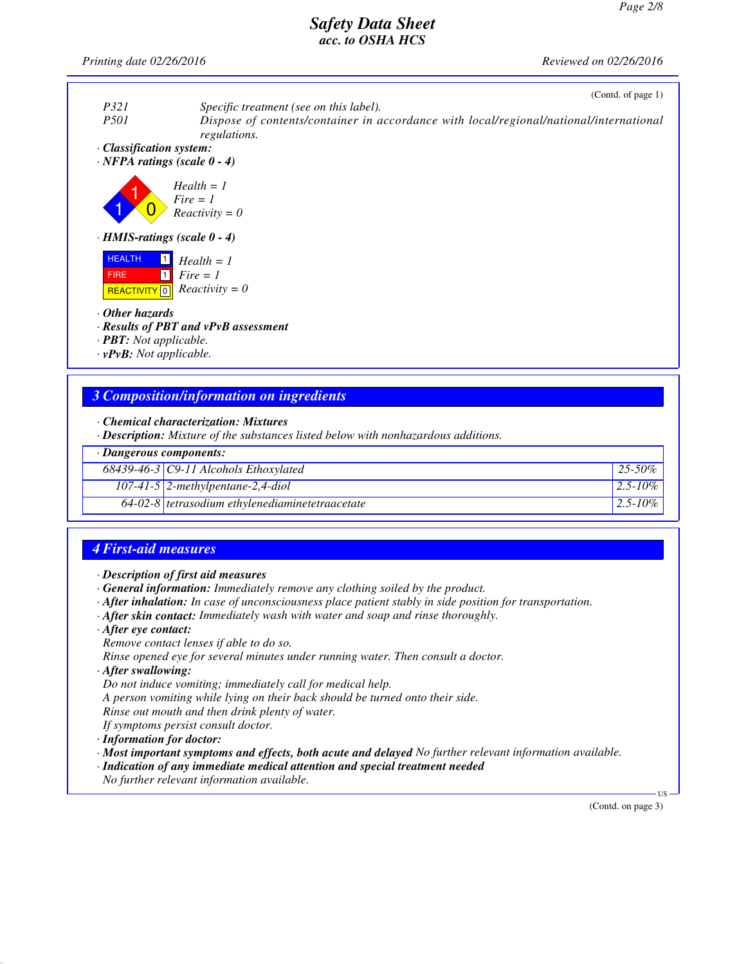*Printing date 02/26/2016 Reviewed on 02/26/2016*



#### *3 Composition/information on ingredients*

*· Chemical characterization: Mixtures*

*· Description: Mixture of the substances listed below with nonhazardous additions.*

|  | · Dangerous components: |
|--|-------------------------|
|--|-------------------------|

| $68439-46-3$ C9-11 Alcohols Ethoxylated           | $125 - 50\%$  |
|---------------------------------------------------|---------------|
| $107-41-5$ 2-methylpentane-2,4-diol               | $2.5 - 10\%$  |
| $64-02-8$ tetrasodium ethylenediaminetetraacetate | $12.5 - 10\%$ |

## *4 First-aid measures*

- *· Description of first aid measures*
- *· General information: Immediately remove any clothing soiled by the product.*
- *· After inhalation: In case of unconsciousness place patient stably in side position for transportation.*
- *· After skin contact: Immediately wash with water and soap and rinse thoroughly.*
- *· After eye contact:*
- *Remove contact lenses if able to do so.*

*Rinse opened eye for several minutes under running water. Then consult a doctor.*

- *· After swallowing:*
- *Do not induce vomiting; immediately call for medical help.*

*A person vomiting while lying on their back should be turned onto their side.*

*Rinse out mouth and then drink plenty of water.*

*If symptoms persist consult doctor.*

*· Information for doctor:*

- *· Most important symptoms and effects, both acute and delayed No further relevant information available.*
- *· Indication of any immediate medical attention and special treatment needed*

*No further relevant information available.*

(Contd. on page 3)

US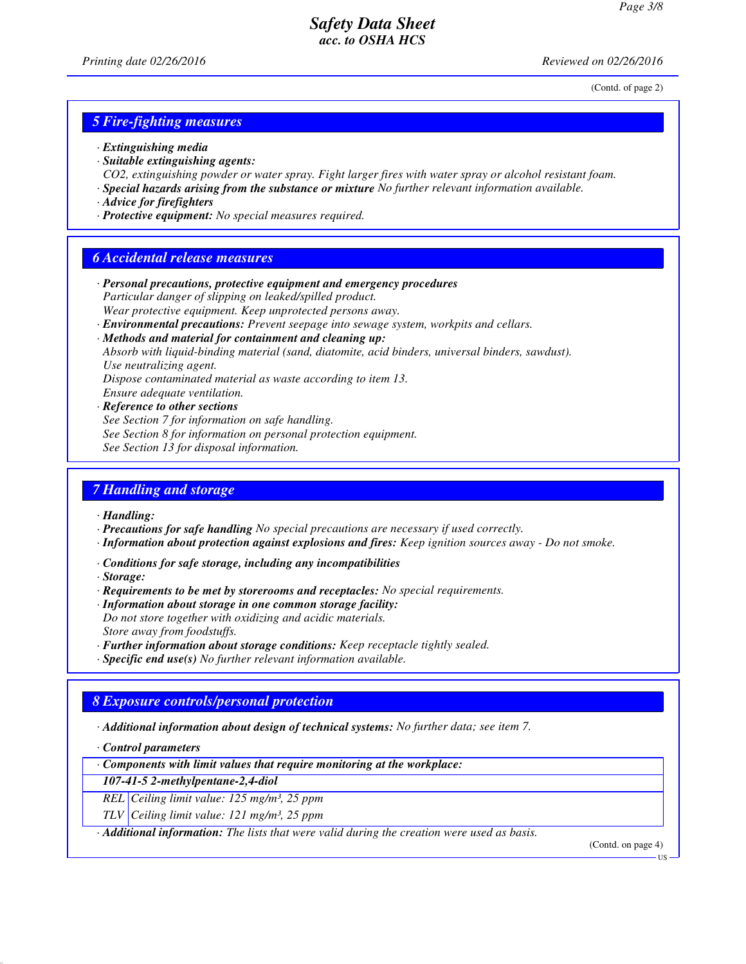(Contd. of page 2)

### *5 Fire-fighting measures*

- *· Extinguishing media*
- *· Suitable extinguishing agents: CO2, extinguishing powder or water spray. Fight larger fires with water spray or alcohol resistant foam.*
- *· Special hazards arising from the substance or mixture No further relevant information available.*
- *· Advice for firefighters*
- *· Protective equipment: No special measures required.*

#### *6 Accidental release measures*

- *· Personal precautions, protective equipment and emergency procedures Particular danger of slipping on leaked/spilled product. Wear protective equipment. Keep unprotected persons away.*
- *· Environmental precautions: Prevent seepage into sewage system, workpits and cellars.*
- *· Methods and material for containment and cleaning up:*

*Absorb with liquid-binding material (sand, diatomite, acid binders, universal binders, sawdust). Use neutralizing agent.*

*Dispose contaminated material as waste according to item 13.*

*Ensure adequate ventilation.*

*· Reference to other sections*

*See Section 7 for information on safe handling.*

- *See Section 8 for information on personal protection equipment.*
- *See Section 13 for disposal information.*

#### *7 Handling and storage*

*· Handling:*

- *· Precautions for safe handling No special precautions are necessary if used correctly.*
- *· Information about protection against explosions and fires: Keep ignition sources away Do not smoke.*
- *· Conditions for safe storage, including any incompatibilities*
- *· Storage:*
- *· Requirements to be met by storerooms and receptacles: No special requirements.*
- *· Information about storage in one common storage facility: Do not store together with oxidizing and acidic materials. Store away from foodstuffs.*
- *· Further information about storage conditions: Keep receptacle tightly sealed.*

*· Specific end use(s) No further relevant information available.*

#### *8 Exposure controls/personal protection*

*· Additional information about design of technical systems: No further data; see item 7.*

*· Control parameters*

*· Components with limit values that require monitoring at the workplace:*

*107-41-5 2-methylpentane-2,4-diol*

*REL Ceiling limit value: 125 mg/m³, 25 ppm*

*TLV Ceiling limit value: 121 mg/m³, 25 ppm*

*· Additional information: The lists that were valid during the creation were used as basis.*

(Contd. on page 4)

US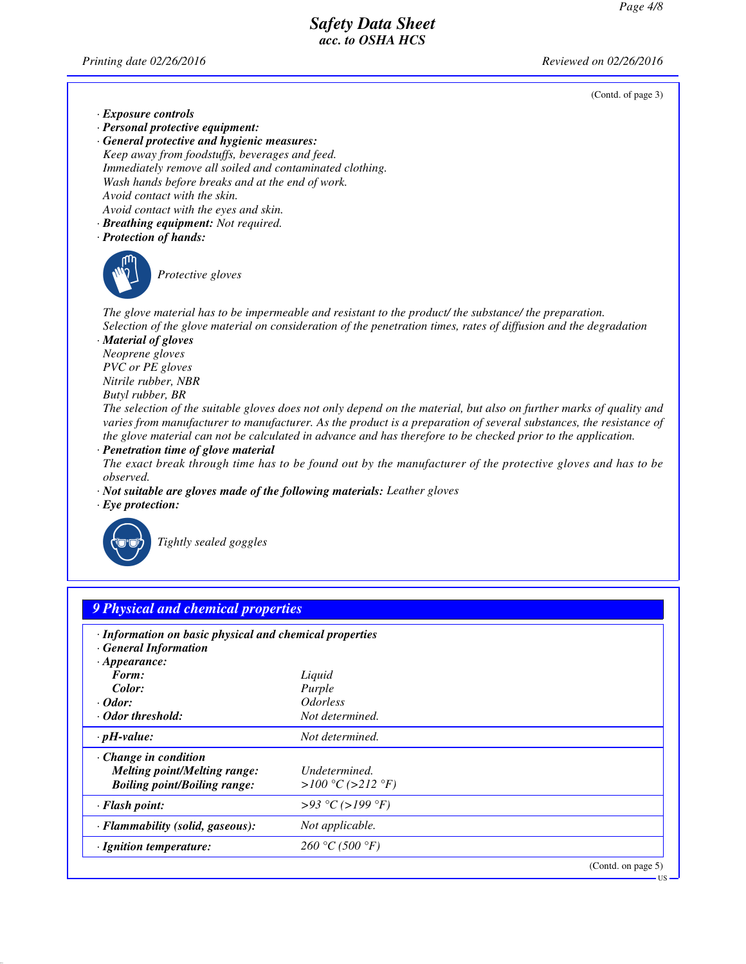*Printing date 02/26/2016 Reviewed on 02/26/2016*

(Contd. of page 3)

US

- *· Exposure controls*
- *· Personal protective equipment:*
- *· General protective and hygienic measures: Keep away from foodstuffs, beverages and feed. Immediately remove all soiled and contaminated clothing. Wash hands before breaks and at the end of work. Avoid contact with the skin. Avoid contact with the eyes and skin.*
- *· Breathing equipment: Not required.*
- *· Protection of hands:*



\_S*Protective gloves*

*The glove material has to be impermeable and resistant to the product/ the substance/ the preparation. Selection of the glove material on consideration of the penetration times, rates of diffusion and the degradation*

*· Material of gloves Neoprene gloves PVC or PE gloves Nitrile rubber, NBR Butyl rubber, BR*

*The selection of the suitable gloves does not only depend on the material, but also on further marks of quality and varies from manufacturer to manufacturer. As the product is a preparation of several substances, the resistance of the glove material can not be calculated in advance and has therefore to be checked prior to the application.*

*· Penetration time of glove material*

*The exact break through time has to be found out by the manufacturer of the protective gloves and has to be observed.*

- *· Not suitable are gloves made of the following materials: Leather gloves*
- *· Eye protection:*



\_R*Tightly sealed goggles*

| · Information on basic physical and chemical properties |                               |  |
|---------------------------------------------------------|-------------------------------|--|
| <b>General Information</b>                              |                               |  |
| $\cdot$ Appearance:                                     |                               |  |
| Form:                                                   | Liquid                        |  |
| Color:                                                  | Purple                        |  |
| $\cdot$ Odor:                                           | <i><u><b>Odorless</b></u></i> |  |
| Odor threshold:                                         | Not determined.               |  |
| $\cdot$ pH-value:                                       | Not determined.               |  |
| $\cdot$ Change in condition                             |                               |  |
| <b>Melting point/Melting range:</b>                     | Undetermined.                 |  |
| <b>Boiling point/Boiling range:</b>                     | > $100 °C$ (>212 °F)          |  |
| · Flash point:                                          | >93 °C (>199 °F)              |  |
| · Flammability (solid, gaseous):                        | Not applicable.               |  |
| · Ignition temperature:                                 | 260 °C (500 °F)               |  |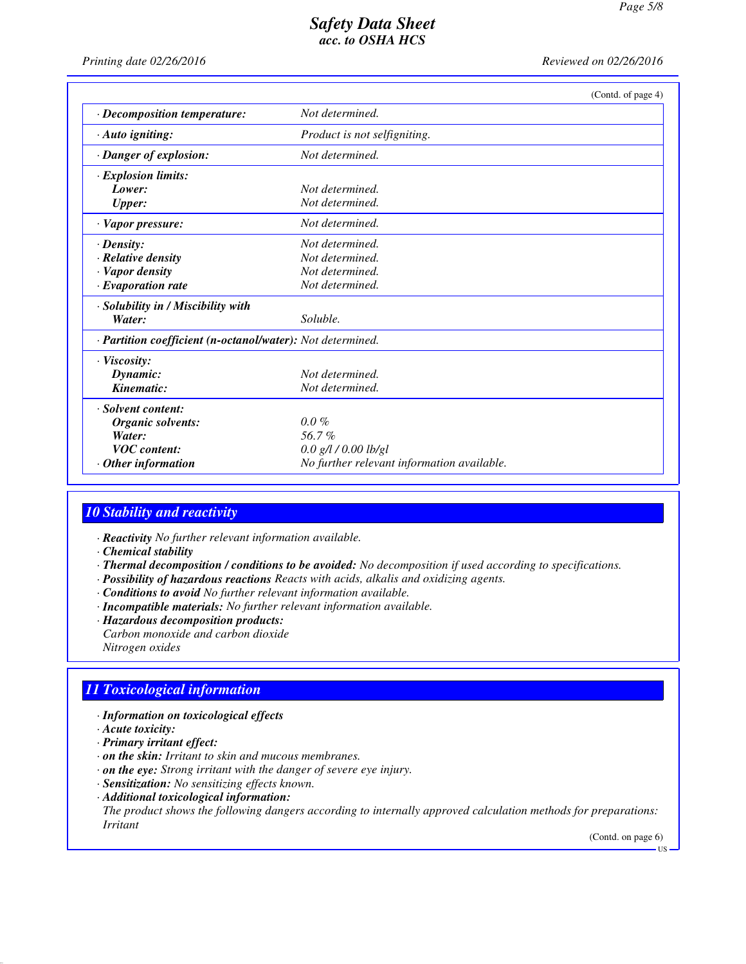*Printing date 02/26/2016 Reviewed on 02/26/2016*

|                                                            | (Contd. of page 4)                         |  |
|------------------------------------------------------------|--------------------------------------------|--|
| · Decomposition temperature:                               | Not determined.                            |  |
| $\cdot$ Auto igniting:                                     | Product is not selfigniting.               |  |
| · Danger of explosion:                                     | Not determined.                            |  |
| · Explosion limits:                                        |                                            |  |
| Lower:                                                     | Not determined.                            |  |
| <b>Upper:</b>                                              | Not determined.                            |  |
| $\cdot$ Vapor pressure:                                    | Not determined.                            |  |
| $\cdot$ Density:                                           | Not determined.                            |  |
| $\cdot$ Relative density                                   | Not determined.                            |  |
| · Vapor density                                            | Not determined.                            |  |
| $\cdot$ Evaporation rate                                   | Not determined.                            |  |
| · Solubility in / Miscibility with                         |                                            |  |
| Water:                                                     | Soluble.                                   |  |
| · Partition coefficient (n-octanol/water): Not determined. |                                            |  |
| $\cdot$ Viscosity:                                         |                                            |  |
| Dynamic:                                                   | Not determined.                            |  |
| Kinematic:                                                 | Not determined.                            |  |
| · Solvent content:                                         |                                            |  |
| Organic solvents:                                          | $0.0\%$                                    |  |
| Water:                                                     | 56.7%                                      |  |
| <b>VOC</b> content:                                        | $0.0$ g/l / $0.00$ lb/gl                   |  |
| $\cdot$ Other information                                  | No further relevant information available. |  |

#### *10 Stability and reactivity*

- *· Reactivity No further relevant information available.*
- *· Chemical stability*
- *· Thermal decomposition / conditions to be avoided: No decomposition if used according to specifications.*
- *· Possibility of hazardous reactions Reacts with acids, alkalis and oxidizing agents.*
- *· Conditions to avoid No further relevant information available.*
- *· Incompatible materials: No further relevant information available.*
- *· Hazardous decomposition products:*
- *Carbon monoxide and carbon dioxide*
- *Nitrogen oxides*

### *11 Toxicological information*

- *· Information on toxicological effects*
- *· Acute toxicity:*
- *· Primary irritant effect:*
- *· on the skin: Irritant to skin and mucous membranes.*
- *· on the eye: Strong irritant with the danger of severe eye injury.*
- *· Sensitization: No sensitizing effects known.*
- *· Additional toxicological information:*

*The product shows the following dangers according to internally approved calculation methods for preparations: Irritant*

(Contd. on page 6)

US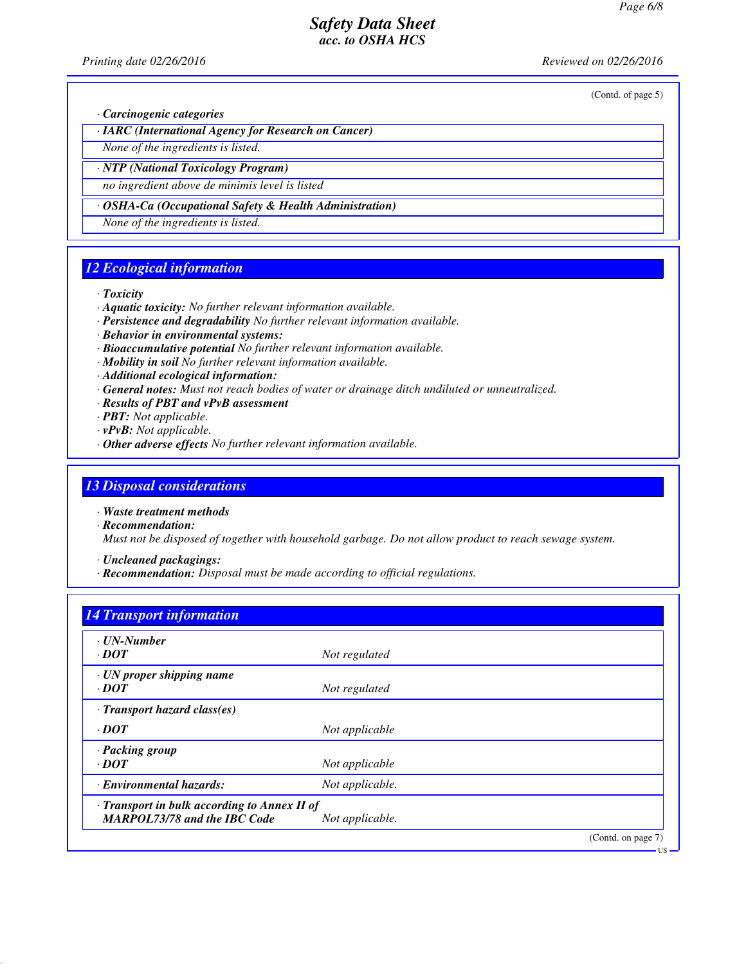*Printing date 02/26/2016 Reviewed on 02/26/2016*

(Contd. of page 5)

*· Carcinogenic categories*

*· IARC (International Agency for Research on Cancer)*

*None of the ingredients is listed.*

*· NTP (National Toxicology Program)*

*no ingredient above de minimis level is listed*

*· OSHA-Ca (Occupational Safety & Health Administration)*

*None of the ingredients is listed.*

### *12 Ecological information*

*· Toxicity*

- *· Aquatic toxicity: No further relevant information available.*
- *· Persistence and degradability No further relevant information available.*
- *· Behavior in environmental systems:*
- *· Bioaccumulative potential No further relevant information available.*
- *· Mobility in soil No further relevant information available.*
- *· Additional ecological information:*
- *· General notes: Must not reach bodies of water or drainage ditch undiluted or unneutralized.*
- *· Results of PBT and vPvB assessment*
- *· PBT: Not applicable.*
- *· vPvB: Not applicable.*
- *· Other adverse effects No further relevant information available.*

#### *13 Disposal considerations*

*· Waste treatment methods*

- *· Recommendation: Must not be disposed of together with household garbage. Do not allow product to reach sewage system.*
- *· Uncleaned packagings:*
- *· Recommendation: Disposal must be made according to official regulations.*

### *14 Transport information*

| · UN-Number<br>$\cdot$ <i>DOT</i>                                                   | Not regulated   |                    |
|-------------------------------------------------------------------------------------|-----------------|--------------------|
| $\cdot$ UN proper shipping name<br>$\cdot$ <i>DOT</i>                               | Not regulated   |                    |
| $\cdot$ Transport hazard class(es)                                                  |                 |                    |
| $\cdot$ DOT                                                                         | Not applicable  |                    |
| · Packing group<br>$\cdot$ <i>DOT</i>                                               | Not applicable  |                    |
| · Environmental hazards:                                                            | Not applicable. |                    |
| · Transport in bulk according to Annex II of<br><b>MARPOL73/78 and the IBC Code</b> | Not applicable. |                    |
|                                                                                     |                 | (Contd. on page 7) |

US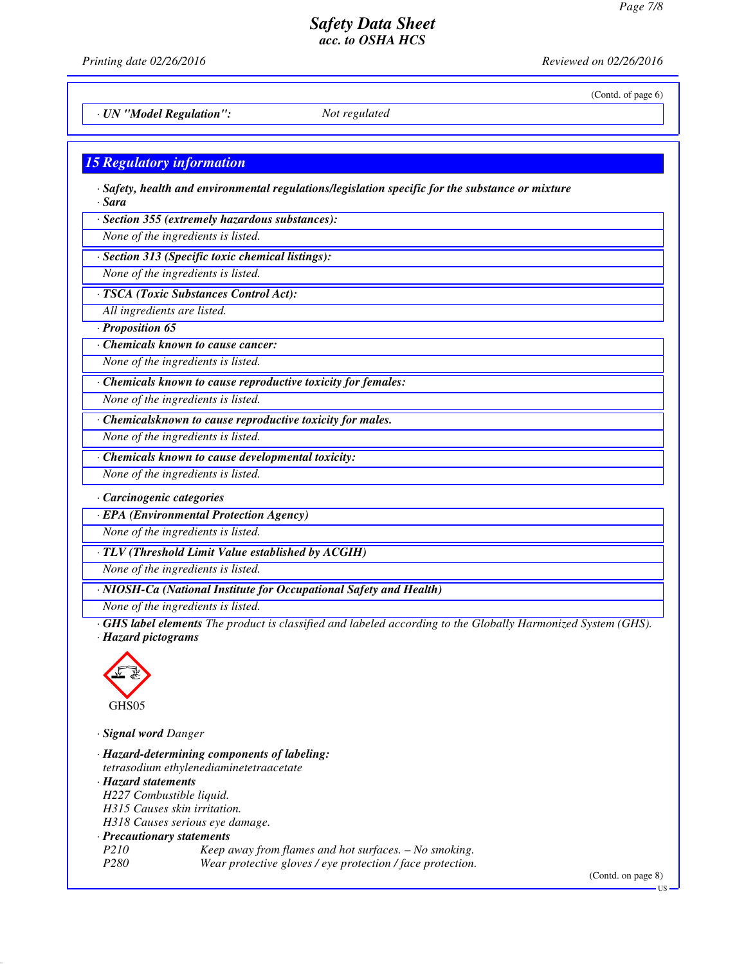*Printing date 02/26/2016 Reviewed on 02/26/2016*

(Contd. of page 6)

*· UN "Model Regulation": Not regulated*

### *15 Regulatory information*

*· Safety, health and environmental regulations/legislation specific for the substance or mixture · Sara*

*· Section 355 (extremely hazardous substances):*

*None of the ingredients is listed.*

*· Section 313 (Specific toxic chemical listings):*

*None of the ingredients is listed.*

*· TSCA (Toxic Substances Control Act):*

*All ingredients are listed.*

*· Proposition 65*

*· Chemicals known to cause cancer:*

*None of the ingredients is listed.*

*· Chemicals known to cause reproductive toxicity for females:*

*None of the ingredients is listed.*

*· Chemicalsknown to cause reproductive toxicity for males.*

*None of the ingredients is listed.*

*· Chemicals known to cause developmental toxicity:*

*None of the ingredients is listed.*

*· Carcinogenic categories*

*· EPA (Environmental Protection Agency)*

*None of the ingredients is listed.*

*· TLV (Threshold Limit Value established by ACGIH)*

*None of the ingredients is listed.*

*· NIOSH-Ca (National Institute for Occupational Safety and Health)*

*None of the ingredients is listed.*

*· GHS label elements The product is classified and labeled according to the Globally Harmonized System (GHS). · Hazard pictograms*



*· Signal word Danger*

*· Hazard-determining components of labeling: tetrasodium ethylenediaminetetraacetate · Hazard statements H227 Combustible liquid. H315 Causes skin irritation. H318 Causes serious eye damage. · Precautionary statements P210 Keep away from flames and hot surfaces. – No smoking. P280 Wear protective gloves / eye protection / face protection.*

(Contd. on page 8)

US